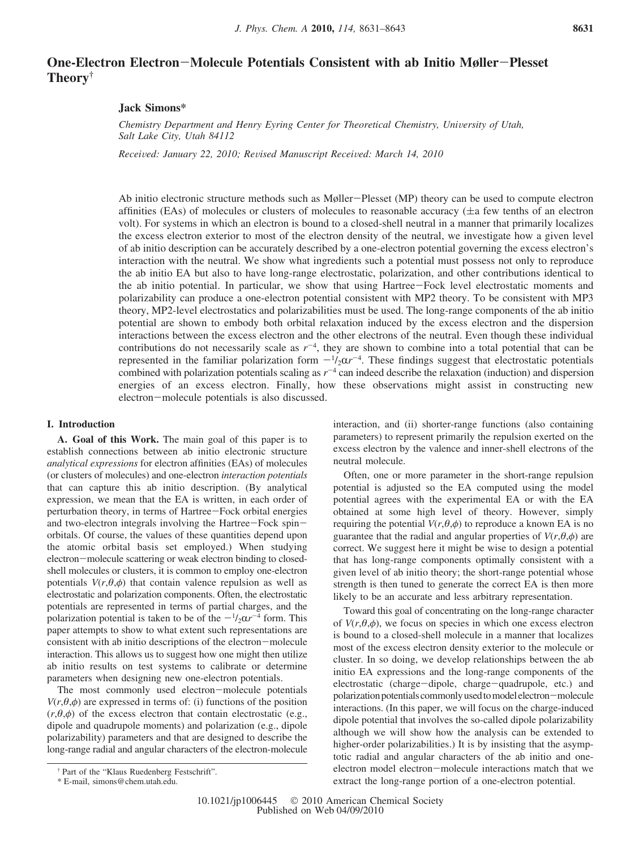# **One-Electron Electron**-**Molecule Potentials Consistent with ab Initio Møller**-**Plesset Theory†**

## **Jack Simons\***

*Chemistry Department and Henry Eyring Center for Theoretical Chemistry, University of Utah, Salt Lake City, Utah 84112*

*Received: January 22, 2010; Revised Manuscript Received: March 14, 2010* 

Ab initio electronic structure methods such as Møller-Plesset (MP) theory can be used to compute electron affinities (EAs) of molecules or clusters of molecules to reasonable accuracy ( $\pm a$  few tenths of an electron volt). For systems in which an electron is bound to a closed-shell neutral in a manner that primarily localizes the excess electron exterior to most of the electron density of the neutral, we investigate how a given level of ab initio description can be accurately described by a one-electron potential governing the excess electron's interaction with the neutral. We show what ingredients such a potential must possess not only to reproduce the ab initio EA but also to have long-range electrostatic, polarization, and other contributions identical to the ab initio potential. In particular, we show that using Hartree-Fock level electrostatic moments and polarizability can produce a one-electron potential consistent with MP2 theory. To be consistent with MP3 theory, MP2-level electrostatics and polarizabilities must be used. The long-range components of the ab initio potential are shown to embody both orbital relaxation induced by the excess electron and the dispersion interactions between the excess electron and the other electrons of the neutral. Even though these individual contributions do not necessarily scale as  $r^{-4}$ , they are shown to combine into a total potential that can be represented in the familiar polarization form  $-\frac{1}{2}\alpha r^{-4}$ . These findings suggest that electrostatic potentials<br>combined with polarization potentials scaling as  $r^{-4}$  can indeed describe the relaxation (induction) and combined with polarization potentials scaling as  $r^{-4}$  can indeed describe the relaxation (induction) and dispersion energies of an excess electron. Finally, how these observations might assist in constructing new electron-molecule potentials is also discussed.

## **I. Introduction**

**A. Goal of this Work.** The main goal of this paper is to establish connections between ab initio electronic structure *analytical expressions* for electron affinities (EAs) of molecules (or clusters of molecules) and one-electron *interaction potentials* that can capture this ab initio description. (By analytical expression, we mean that the EA is written, in each order of perturbation theory, in terms of Hartree-Fock orbital energies and two-electron integrals involving the Hartree-Fock spinorbitals. Of course, the values of these quantities depend upon the atomic orbital basis set employed.) When studying electron-molecule scattering or weak electron binding to closedshell molecules or clusters, it is common to employ one-electron potentials  $V(r, \theta, \phi)$  that contain valence repulsion as well as electrostatic and polarization components. Often, the electrostatic potentials are represented in terms of partial charges, and the polarization potential is taken to be of the  $-\frac{1}{2}\alpha r^{-4}$  form. This paper attempts to show to what extent such representations are paper attempts to show to what extent such representations are consistent with ab initio descriptions of the electron-molecule interaction. This allows us to suggest how one might then utilize ab initio results on test systems to calibrate or determine parameters when designing new one-electron potentials.

The most commonly used electron-molecule potentials *V*( $r$ , $\theta$ , $\phi$ ) are expressed in terms of: (i) functions of the position  $(r, \theta, \phi)$  of the excess electron that contain electrostatic (e.g., dipole and quadrupole moments) and polarization (e.g., dipole polarizability) parameters and that are designed to describe the long-range radial and angular characters of the electron-molecule interaction, and (ii) shorter-range functions (also containing parameters) to represent primarily the repulsion exerted on the excess electron by the valence and inner-shell electrons of the neutral molecule.

Often, one or more parameter in the short-range repulsion potential is adjusted so the EA computed using the model potential agrees with the experimental EA or with the EA obtained at some high level of theory. However, simply requiring the potential  $V(r, \theta, \phi)$  to reproduce a known EA is no guarantee that the radial and angular properties of  $V(r, \theta, \phi)$  are correct. We suggest here it might be wise to design a potential that has long-range components optimally consistent with a given level of ab initio theory; the short-range potential whose strength is then tuned to generate the correct EA is then more likely to be an accurate and less arbitrary representation.

Toward this goal of concentrating on the long-range character of  $V(r, \theta, \phi)$ , we focus on species in which one excess electron is bound to a closed-shell molecule in a manner that localizes most of the excess electron density exterior to the molecule or cluster. In so doing, we develop relationships between the ab initio EA expressions and the long-range components of the electrostatic (charge-dipole, charge-quadrupole, etc.) and polarization potentials commonly used to model electron-molecule interactions. (In this paper, we will focus on the charge-induced dipole potential that involves the so-called dipole polarizability although we will show how the analysis can be extended to higher-order polarizabilities.) It is by insisting that the asymptotic radial and angular characters of the ab initio and oneelectron model electron-molecule interactions match that we extract the long-range portion of a one-electron potential.

<sup>†</sup> Part of the "Klaus Ruedenberg Festschrift".

<sup>\*</sup> E-mail, simons@chem.utah.edu.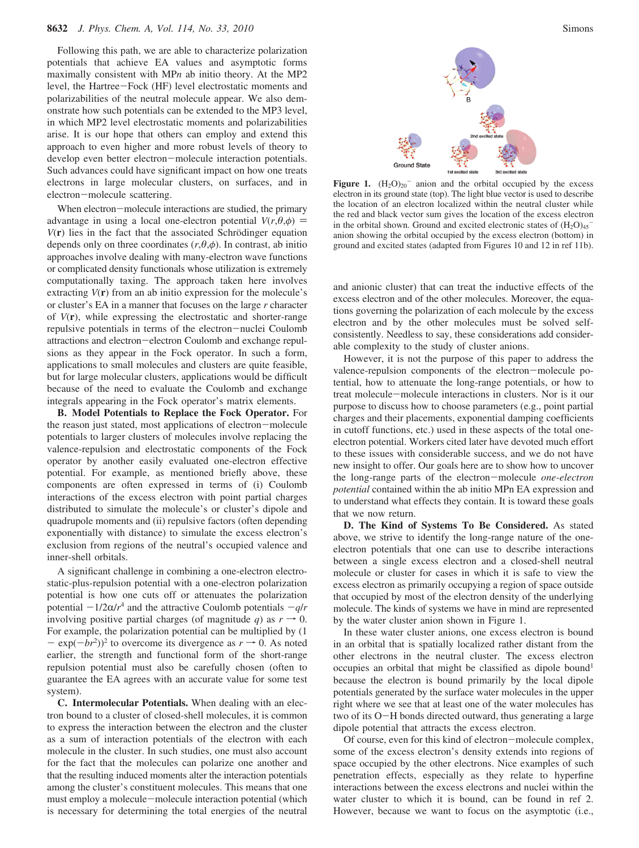Following this path, we are able to characterize polarization potentials that achieve EA values and asymptotic forms maximally consistent with MP*n* ab initio theory. At the MP2 level, the Hartree-Fock (HF) level electrostatic moments and polarizabilities of the neutral molecule appear. We also demonstrate how such potentials can be extended to the MP3 level, in which MP2 level electrostatic moments and polarizabilities arise. It is our hope that others can employ and extend this approach to even higher and more robust levels of theory to develop even better electron-molecule interaction potentials. Such advances could have significant impact on how one treats electrons in large molecular clusters, on surfaces, and in electron-molecule scattering.

When electron-molecule interactions are studied, the primary advantage in using a local one-electron potential  $V(r, \theta, \phi)$  =  $V(\mathbf{r})$  lies in the fact that the associated Schrödinger equation depends only on three coordinates  $(r, \theta, \phi)$ . In contrast, ab initio approaches involve dealing with many-electron wave functions or complicated density functionals whose utilization is extremely computationally taxing. The approach taken here involves extracting *V*(**r**) from an ab initio expression for the molecule's or cluster's EA in a manner that focuses on the large *r* character of *V*(**r**), while expressing the electrostatic and shorter-range repulsive potentials in terms of the electron-nuclei Coulomb attractions and electron-electron Coulomb and exchange repulsions as they appear in the Fock operator. In such a form, applications to small molecules and clusters are quite feasible, but for large molecular clusters, applications would be difficult because of the need to evaluate the Coulomb and exchange integrals appearing in the Fock operator's matrix elements.

**B. Model Potentials to Replace the Fock Operator.** For the reason just stated, most applications of electron-molecule potentials to larger clusters of molecules involve replacing the valence-repulsion and electrostatic components of the Fock operator by another easily evaluated one-electron effective potential. For example, as mentioned briefly above, these components are often expressed in terms of (i) Coulomb interactions of the excess electron with point partial charges distributed to simulate the molecule's or cluster's dipole and quadrupole moments and (ii) repulsive factors (often depending exponentially with distance) to simulate the excess electron's exclusion from regions of the neutral's occupied valence and inner-shell orbitals.

A significant challenge in combining a one-electron electrostatic-plus-repulsion potential with a one-electron polarization potential is how one cuts off or attenuates the polarization potential  $-1/2\alpha/r^4$  and the attractive Coulomb potentials  $-q/r$ involving positive partial charges (of magnitude *q*) as  $r \rightarrow 0$ . For example, the polarization potential can be multiplied by (1  $-\exp(-br^2)^2$  to overcome its divergence as  $r \to 0$ . As noted<br>earlier, the strength and functional form of the short-range earlier, the strength and functional form of the short-range repulsion potential must also be carefully chosen (often to guarantee the EA agrees with an accurate value for some test system).

**C. Intermolecular Potentials.** When dealing with an electron bound to a cluster of closed-shell molecules, it is common to express the interaction between the electron and the cluster as a sum of interaction potentials of the electron with each molecule in the cluster. In such studies, one must also account for the fact that the molecules can polarize one another and that the resulting induced moments alter the interaction potentials among the cluster's constituent molecules. This means that one must employ a molecule-molecule interaction potential (which is necessary for determining the total energies of the neutral



**Figure 1.**  $(H_2O)_{20}$  anion and the orbital occupied by the excess electron in its ground state (top). The light blue vector is used to describe the location of an electron localized within the neutral cluster while the red and black vector sum gives the location of the excess electron in the orbital shown. Ground and excited electronic states of  $(H_2O)_{45}^$ anion showing the orbital occupied by the excess electron (bottom) in ground and excited states (adapted from Figures 10 and 12 in ref 11b).

and anionic cluster) that can treat the inductive effects of the excess electron and of the other molecules. Moreover, the equations governing the polarization of each molecule by the excess electron and by the other molecules must be solved selfconsistently. Needless to say, these considerations add considerable complexity to the study of cluster anions.

However, it is not the purpose of this paper to address the valence-repulsion components of the electron-molecule potential, how to attenuate the long-range potentials, or how to treat molecule-molecule interactions in clusters. Nor is it our purpose to discuss how to choose parameters (e.g., point partial charges and their placements, exponential damping coefficients in cutoff functions, etc.) used in these aspects of the total oneelectron potential. Workers cited later have devoted much effort to these issues with considerable success, and we do not have new insight to offer. Our goals here are to show how to uncover the long-range parts of the electron-molecule *one-electron potential* contained within the ab initio MPn EA expression and to understand what effects they contain. It is toward these goals that we now return.

**D. The Kind of Systems To Be Considered.** As stated above, we strive to identify the long-range nature of the oneelectron potentials that one can use to describe interactions between a single excess electron and a closed-shell neutral molecule or cluster for cases in which it is safe to view the excess electron as primarily occupying a region of space outside that occupied by most of the electron density of the underlying molecule. The kinds of systems we have in mind are represented by the water cluster anion shown in Figure 1.

In these water cluster anions, one excess electron is bound in an orbital that is spatially localized rather distant from the other electrons in the neutral cluster. The excess electron occupies an orbital that might be classified as dipole bound<sup>1</sup> because the electron is bound primarily by the local dipole potentials generated by the surface water molecules in the upper right where we see that at least one of the water molecules has two of its O-H bonds directed outward, thus generating a large dipole potential that attracts the excess electron.

Of course, even for this kind of electron-molecule complex, some of the excess electron's density extends into regions of space occupied by the other electrons. Nice examples of such penetration effects, especially as they relate to hyperfine interactions between the excess electrons and nuclei within the water cluster to which it is bound, can be found in ref 2. However, because we want to focus on the asymptotic (i.e.,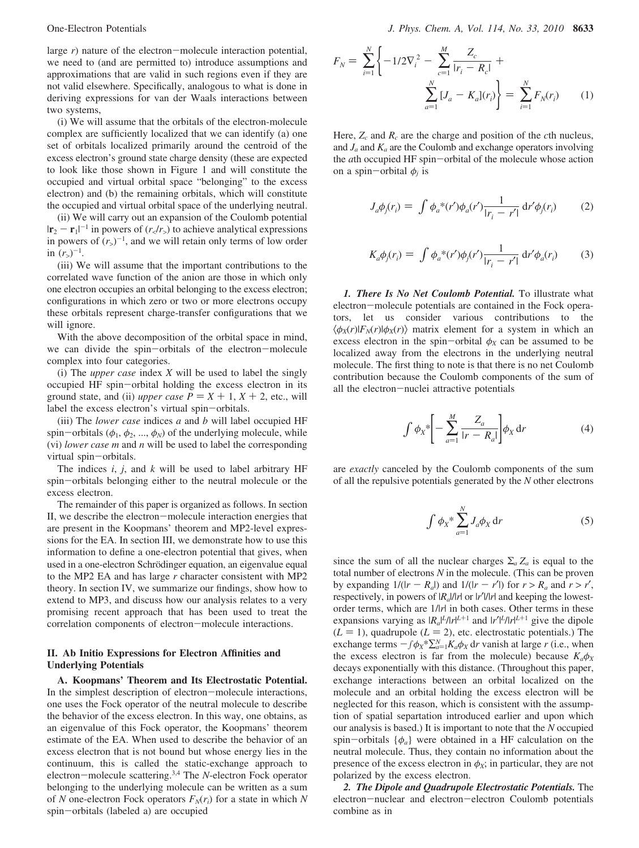large *r*) nature of the electron-molecule interaction potential, we need to (and are permitted to) introduce assumptions and approximations that are valid in such regions even if they are not valid elsewhere. Specifically, analogous to what is done in deriving expressions for van der Waals interactions between two systems,

(i) We will assume that the orbitals of the electron-molecule complex are sufficiently localized that we can identify (a) one set of orbitals localized primarily around the centroid of the excess electron's ground state charge density (these are expected to look like those shown in Figure 1 and will constitute the occupied and virtual orbital space "belonging" to the excess electron) and (b) the remaining orbitals, which will constitute the occupied and virtual orbital space of the underlying neutral.

(ii) We will carry out an expansion of the Coulomb potential  $|\mathbf{r}_2 - \mathbf{r}_1|^{-1}$  in powers of  $(r_c/r_s)$  to achieve analytical expressions<br>in powers of  $(r_s)^{-1}$  and we will retain only terms of low order in powers of  $(r_>)^{-1}$ , and we will retain only terms of low order in  $(r_>)^{-1}$ .

(iii) We will assume that the important contributions to the correlated wave function of the anion are those in which only one electron occupies an orbital belonging to the excess electron; configurations in which zero or two or more electrons occupy these orbitals represent charge-transfer configurations that we will ignore.

With the above decomposition of the orbital space in mind, we can divide the spin-orbitals of the electron-molecule complex into four categories.

(i) The *upper case* index *X* will be used to label the singly occupied HF spin-orbital holding the excess electron in its ground state, and (ii) *upper case*  $P = X + 1, X + 2$ , etc., will label the excess electron's virtual spin-orbitals.

(iii) The *lower case* indices *a* and *b* will label occupied HF spin-orbitals ( $\phi_1$ ,  $\phi_2$ , ...,  $\phi_N$ ) of the underlying molecule, while (vi) *lower case m* and *n* will be used to label the corresponding virtual spin-orbitals.

The indices *i*, *j*, and *k* will be used to label arbitrary HF spin-orbitals belonging either to the neutral molecule or the excess electron.

The remainder of this paper is organized as follows. In section II, we describe the electron-molecule interaction energies that are present in the Koopmans' theorem and MP2-level expressions for the EA. In section III, we demonstrate how to use this information to define a one-electron potential that gives, when used in a one-electron Schrödinger equation, an eigenvalue equal to the MP2 EA and has large *r* character consistent with MP2 theory. In section IV, we summarize our findings, show how to extend to MP3, and discuss how our analysis relates to a very promising recent approach that has been used to treat the correlation components of electron-molecule interactions.

## **II. Ab Initio Expressions for Electron Affinities and Underlying Potentials**

**A. Koopmans' Theorem and Its Electrostatic Potential.** In the simplest description of electron-molecule interactions, one uses the Fock operator of the neutral molecule to describe the behavior of the excess electron. In this way, one obtains, as an eigenvalue of this Fock operator, the Koopmans' theorem estimate of the EA. When used to describe the behavior of an excess electron that is not bound but whose energy lies in the continuum, this is called the static-exchange approach to electron-molecule scattering.3,4 The *<sup>N</sup>*-electron Fock operator belonging to the underlying molecule can be written as a sum of *N* one-electron Fock operators  $F_N(r_i)$  for a state in which *N* spin-orbitals (labeled a) are occupied

$$
F_N = \sum_{i=1}^N \left\{ -1/2\nabla_i^2 - \sum_{c=1}^M \frac{Z_c}{|r_i - R_c|} + \sum_{a=1}^N [J_a - K_a](r_i) \right\} = \sum_{i=1}^N F_N(r_i)
$$
 (1)

Here,  $Z_c$  and  $R_c$  are the charge and position of the *c*th nucleus, and  $J_a$  and  $K_a$  are the Coulomb and exchange operators involving the *<sup>a</sup>*th occupied HF spin-orbital of the molecule whose action on a spin-orbital  $\phi_i$  is

$$
J_a \phi_j(r_i) = \int \phi_a^* (r') \phi_a(r') \frac{1}{|r_i - r'|} \, \mathrm{d}r' \phi_j(r_i) \tag{2}
$$

$$
K_a \phi_j(r_i) = \int \phi_a^* (r') \phi_j(r') \frac{1}{|r_i - r'|} \, \mathrm{d}r' \phi_a(r_i) \tag{3}
$$

*1. There Is No Net Coulomb Potential.* To illustrate what electron-molecule potentials are contained in the Fock operators, let us consider various contributions to the  $\langle \phi_X(r)|F_N(r)|\phi_X(r)\rangle$  matrix element for a system in which an excess electron in the spin-orbital  $\phi_X$  can be assumed to be localized away from the electrons in the underlying neutral molecule. The first thing to note is that there is no net Coulomb contribution because the Coulomb components of the sum of all the electron-nuclei attractive potentials

$$
\int \phi_X^* \left[ -\sum_{a=1}^M \frac{Z_a}{|r - R_a|} \right] \phi_X \, \mathrm{d}r \tag{4}
$$

are *exactly* canceled by the Coulomb components of the sum of all the repulsive potentials generated by the *N* other electrons

$$
\int \phi_X^* \sum_{a=1}^N J_a \phi_X \, \mathrm{d}r \tag{5}
$$

since the sum of all the nuclear charges  $\Sigma_a Z_a$  is equal to the total number of electrons *N* in the molecule. (This can be proven by expanding  $1/(|r - R_a|)$  and  $1/(|r - r'|)$  for  $r > R_a$  and  $r > r'$ , respectively, in powers of |*Ra*|/|*r*| or |*r*′|/|*r*| and keeping the lowestorder terms, which are 1/|*r*| in both cases. Other terms in these expansions varying as  $|R_a|^L/|r|^{L+1}$  and  $|r'|^L/|r|^{L+1}$  give the dipole  $(L = 1)$ , quadrupole  $(L = 2)$ , etc. electrostatic potentials.) The exchange terms  $-f\phi_X^* \sum_{a=1}^N K_a \phi_X$  dr vanish at large *r* (i.e., when the excess electron is far from the molecule) because  $K_a \phi_X$ decays exponentially with this distance. (Throughout this paper, exchange interactions between an orbital localized on the molecule and an orbital holding the excess electron will be neglected for this reason, which is consistent with the assumption of spatial separtation introduced earlier and upon which our analysis is based.) It is important to note that the *N* occupied spin-orbitals  $\{\phi_a\}$  were obtained in a HF calculation on the neutral molecule. Thus, they contain no information about the presence of the excess electron in  $\phi_X$ ; in particular, they are not polarized by the excess electron.

*2. The Dipole and Quadrupole Electrostatic Potentials.* The electron-nuclear and electron-electron Coulomb potentials combine as in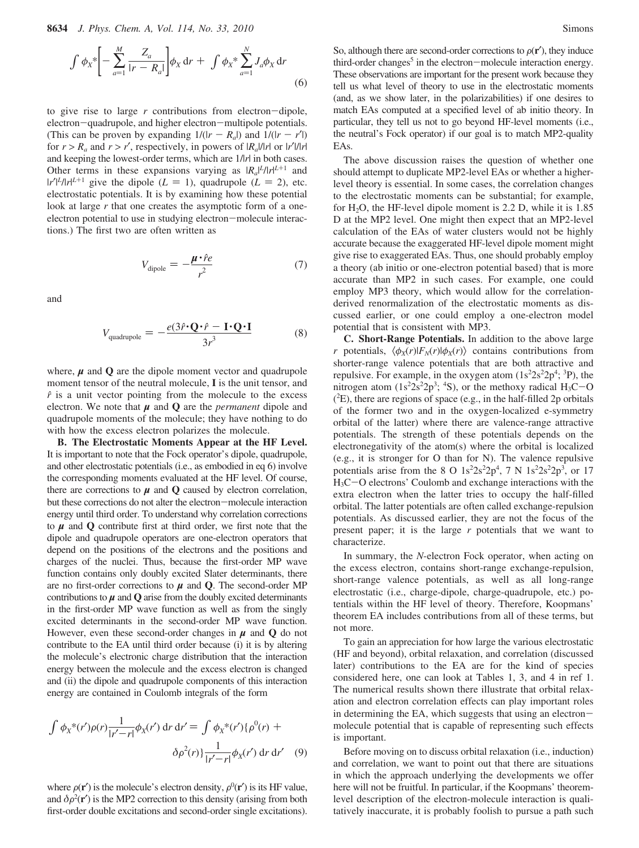$$
\int \phi_X^* \left[ - \sum_{a=1}^M \frac{Z_a}{|r - R_a|} \right] \phi_X \, dr + \int \phi_X^* \sum_{a=1}^N J_a \phi_X \, dr \tag{6}
$$

to give rise to large *<sup>r</sup>* contributions from electron-dipole, electron-quadrupole, and higher electron-multipole potentials. (This can be proven by expanding  $1/(|r - R_a|)$  and  $1/(|r - r'|)$ ) for  $r > R_a$  and  $r > r'$ , respectively, in powers of  $|R_a|/|r|$  or  $|r'|/|r|$ and keeping the lowest-order terms, which are  $1/|r|$  in both cases. Other terms in these expansions varying as  $|R_a|^L/|r|^{L+1}$  and  $|r'|^L/n|^{L+1}$  give the dipole  $(L = 1)$ , quadrupole  $(L = 2)$ , etc. electrostatic potentials. It is by examining how these potential look at large *r* that one creates the asymptotic form of a oneelectron potential to use in studying electron-molecule interactions.) The first two are often written as

$$
V_{\text{dipole}} = -\frac{\mu \cdot \hat{r}e}{r^2} \tag{7}
$$

and

$$
V_{\text{quadrupole}} = -\frac{e(3\hat{r}\cdot\mathbf{Q}\cdot\hat{r} - \mathbf{I}\cdot\mathbf{Q}\cdot\mathbf{I}}{3r^3} \tag{8}
$$

where,  $\mu$  and  $Q$  are the dipole moment vector and quadrupole moment tensor of the neutral molecule, **I** is the unit tensor, and *f* is a unit vector pointing from the molecule to the excess electron. We note that  $\mu$  and  $Q$  are the *permanent* dipole and quadrupole moments of the molecule; they have nothing to do with how the excess electron polarizes the molecule.

**B. The Electrostatic Moments Appear at the HF Level.** It is important to note that the Fock operator's dipole, quadrupole, and other electrostatic potentials (i.e., as embodied in eq 6) involve the corresponding moments evaluated at the HF level. Of course, there are corrections to  $\mu$  and  $\Omega$  caused by electron correlation, but these corrections do not alter the electron-molecule interaction energy until third order. To understand why correlation corrections to  $\mu$  and  $Q$  contribute first at third order, we first note that the dipole and quadrupole operators are one-electron operators that depend on the positions of the electrons and the positions and charges of the nuclei. Thus, because the first-order MP wave function contains only doubly excited Slater determinants, there are no first-order corrections to  $\mu$  and **Q**. The second-order MP contributions to  $\mu$  and  $Q$  arise from the doubly excited determinants in the first-order MP wave function as well as from the singly excited determinants in the second-order MP wave function. However, even these second-order changes in  $\mu$  and  $\dot{Q}$  do not contribute to the EA until third order because (i) it is by altering the molecule's electronic charge distribution that the interaction energy between the molecule and the excess electron is changed and (ii) the dipole and quadrupole components of this interaction energy are contained in Coulomb integrals of the form

$$
\int \phi_X^*(r')\rho(r)\frac{1}{|r'-r|}\phi_X(r') dr dr' = \int \phi_X^*(r')\{\rho^0(r) + \delta\rho^2(r)\}\frac{1}{|r'-r|}\phi_X(r') dr dr' \quad (9)
$$

where  $\rho(\mathbf{r}')$  is the molecule's electron density,  $\rho^{0}(\mathbf{r}')$  is its HF value, and  $\delta \rho^{2}(\mathbf{r}')$  is the MP2 correction to this density (arising from both and  $\delta \rho^2(\mathbf{r}')$  is the MP2 correction to this density (arising from both first-order double excitations) first-order double excitations and second-order single excitations). So, although there are second-order corrections to  $\rho(\mathbf{r}')$ , they induce third-order changes<sup>5</sup> in the electron-molecule interaction energy. These observations are important for the present work because they tell us what level of theory to use in the electrostatic moments (and, as we show later, in the polarizabilities) if one desires to match EAs computed at a specified level of ab initio theory. In particular, they tell us not to go beyond HF-level moments (i.e., the neutral's Fock operator) if our goal is to match MP2-quality EAs.

The above discussion raises the question of whether one should attempt to duplicate MP2-level EAs or whether a higherlevel theory is essential. In some cases, the correlation changes to the electrostatic moments can be substantial; for example, for  $H_2O$ , the HF-level dipole moment is 2.2 D, while it is 1.85 D at the MP2 level. One might then expect that an MP2-level calculation of the EAs of water clusters would not be highly accurate because the exaggerated HF-level dipole moment might give rise to exaggerated EAs. Thus, one should probably employ a theory (ab initio or one-electron potential based) that is more accurate than MP2 in such cases. For example, one could employ MP3 theory, which would allow for the correlationderived renormalization of the electrostatic moments as discussed earlier, or one could employ a one-electron model potential that is consistent with MP3.

**C. Short-Range Potentials.** In addition to the above large *r* potentials,  $\langle \phi_X(r) | F_N(r) | \phi_X(r) \rangle$  contains contributions from shorter-range valence potentials that are both attractive and repulsive. For example, in the oxygen atom  $(1s<sup>2</sup>2s<sup>2</sup>2p<sup>4</sup>; <sup>3</sup>P)$ , the nitrogen atom  $(1s^22s^2p^3; 4s)$ , or the methoxy radical  $H_3C-O$ <br>( $^2F$ ), there are regions of space (e.g., in the half-filled 2p orbitals) ( 2 E), there are regions of space (e.g., in the half-filled 2p orbitals of the former two and in the oxygen-localized e-symmetry orbital of the latter) where there are valence-range attractive potentials. The strength of these potentials depends on the electronegativity of the atom(s) where the orbital is localized (e.g., it is stronger for O than for N). The valence repulsive potentials arise from the 8 O  $1s^2 2s^2 2p^4$ , 7 N  $1s^2 2s^2 2p^3$ , or 17 H3C-O electrons' Coulomb and exchange interactions with the extra electron when the latter tries to occupy the half-filled orbital. The latter potentials are often called exchange-repulsion potentials. As discussed earlier, they are not the focus of the present paper; it is the large *r* potentials that we want to characterize.

In summary, the *N*-electron Fock operator, when acting on the excess electron, contains short-range exchange-repulsion, short-range valence potentials, as well as all long-range electrostatic (i.e., charge-dipole, charge-quadrupole, etc.) potentials within the HF level of theory. Therefore, Koopmans' theorem EA includes contributions from all of these terms, but not more.

To gain an appreciation for how large the various electrostatic (HF and beyond), orbital relaxation, and correlation (discussed later) contributions to the EA are for the kind of species considered here, one can look at Tables 1, 3, and 4 in ref 1. The numerical results shown there illustrate that orbital relaxation and electron correlation effects can play important roles in determining the EA, which suggests that using an electronmolecule potential that is capable of representing such effects is important.

Before moving on to discuss orbital relaxation (i.e., induction) and correlation, we want to point out that there are situations in which the approach underlying the developments we offer here will not be fruitful. In particular, if the Koopmans' theoremlevel description of the electron-molecule interaction is qualitatively inaccurate, it is probably foolish to pursue a path such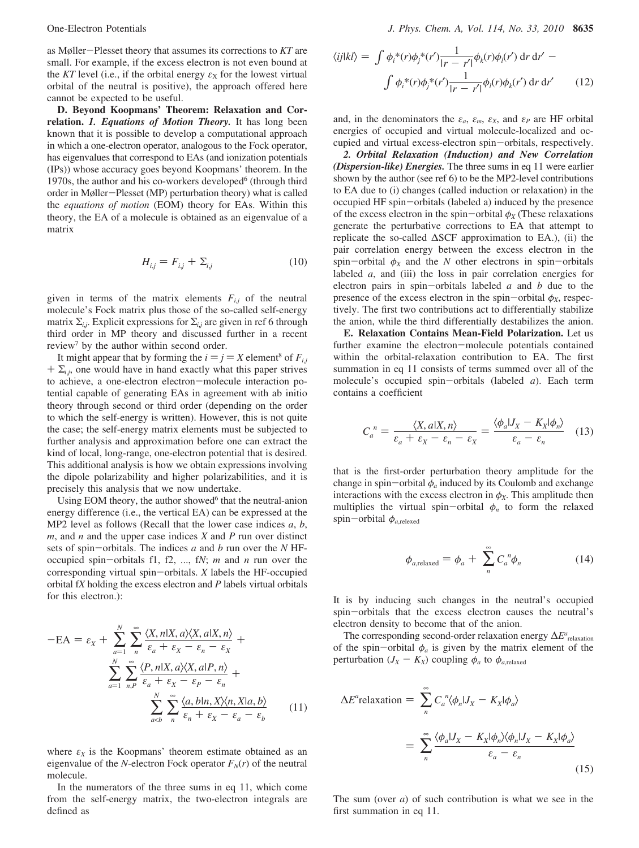as Møller-Plesset theory that assumes its corrections to *KT* are small. For example, if the excess electron is not even bound at the *KT* level (i.e., if the orbital energy  $\varepsilon_X$  for the lowest virtual orbital of the neutral is positive), the approach offered here cannot be expected to be useful.

**D. Beyond Koopmans' Theorem: Relaxation and Correlation.** *1. Equations of Motion Theory.* It has long been known that it is possible to develop a computational approach in which a one-electron operator, analogous to the Fock operator, has eigenvalues that correspond to EAs (and ionization potentials (IPs)) whose accuracy goes beyond Koopmans' theorem. In the 1970s, the author and his co-workers developed $6$  (through third order in Møller-Plesset (MP) perturbation theory) what is called the *equations of motion* (EOM) theory for EAs. Within this theory, the EA of a molecule is obtained as an eigenvalue of a matrix

$$
H_{ij} = F_{ij} + \Sigma_{i,j} \tag{10}
$$

given in terms of the matrix elements  $F_{i,j}$  of the neutral molecule's Fock matrix plus those of the so-called self-energy matrix  $\Sigma_{i,j}$ . Explicit expressions for  $\Sigma_{i,j}$  are given in ref 6 through third order in MP theory and discussed further in a recent review<sup>7</sup> by the author within second order.

It might appear that by forming the  $i = j = X$  element<sup>8</sup> of  $F_{i,j}$  $+ \Sigma_{i,j}$ , one would have in hand exactly what this paper strives to achieve, a one-electron electron-molecule interaction potential capable of generating EAs in agreement with ab initio theory through second or third order (depending on the order to which the self-energy is written). However, this is not quite the case; the self-energy matrix elements must be subjected to further analysis and approximation before one can extract the kind of local, long-range, one-electron potential that is desired. This additional analysis is how we obtain expressions involving the dipole polarizability and higher polarizabilities, and it is precisely this analysis that we now undertake.

Using EOM theory, the author showed $6$  that the neutral-anion energy difference (i.e., the vertical EA) can be expressed at the MP2 level as follows (Recall that the lower case indices *a*, *b*, *m*, and *n* and the upper case indices *X* and *P* run over distinct sets of spin-orbitals. The indices *<sup>a</sup>* and *<sup>b</sup>* run over the *<sup>N</sup>* HFoccupied spin-orbitals f1, f2, ..., f*N*; *<sup>m</sup>* and *<sup>n</sup>* run over the corresponding virtual spin-orbitals. *<sup>X</sup>* labels the HF-occupied orbital f*X* holding the excess electron and *P* labels virtual orbitals for this electron.):

$$
-EA = \varepsilon_X + \sum_{a=1}^N \sum_{n}^{\infty} \frac{\langle X, n | X, a \rangle \langle X, a | X, n \rangle}{\varepsilon_a + \varepsilon_X - \varepsilon_n - \varepsilon_X} + \sum_{a=1}^N \sum_{n, p}^{\infty} \frac{\langle P, n | X, a \rangle \langle X, a | P, n \rangle}{\varepsilon_a + \varepsilon_X - \varepsilon_p - \varepsilon_n} + \sum_{a < b}^N \sum_{n}^{\infty} \frac{\langle a, b | n, X \rangle \langle n, X | a, b \rangle}{\varepsilon_n + \varepsilon_X - \varepsilon_a - \varepsilon_b}
$$
(11)

where  $\varepsilon_X$  is the Koopmans' theorem estimate obtained as an eigenvalue of the *N*-electron Fock operator  $F_N(r)$  of the neutral molecule.

In the numerators of the three sums in eq 11, which come from the self-energy matrix, the two-electron integrals are defined as

$$
\langle ij|kl\rangle = \int \phi_i^*(r)\phi_j^*(r') \frac{1}{|r - r'|} \phi_k(r)\phi_l(r') \,dr \,dr' -
$$

$$
\int \phi_i^*(r)\phi_j^*(r') \frac{1}{|r - r'|} \phi_l(r)\phi_k(r') \,dr \,dr' \qquad (12)
$$

and, in the denominators the  $\varepsilon_a$ ,  $\varepsilon_m$ ,  $\varepsilon_X$ , and  $\varepsilon_P$  are HF orbital energies of occupied and virtual molecule-localized and occupied and virtual excess-electron spin-orbitals, respectively.

*2. Orbital Relaxation (Induction) and New Correlation (Dispersion-like) Energies.* The three sums in eq 11 were earlier shown by the author (see ref 6) to be the MP2-level contributions to EA due to (i) changes (called induction or relaxation) in the occupied HF spin-orbitals (labeled a) induced by the presence of the excess electron in the spin-orbital  $\phi_X$  (These relaxations generate the perturbative corrections to EA that attempt to replicate the so-called ∆SCF approximation to EA.), (ii) the pair correlation energy between the excess electron in the spin-orbital  $\phi_X$  and the *N* other electrons in spin-orbitals labeled *a*, and (iii) the loss in pair correlation energies for electron pairs in spin-orbitals labeled *<sup>a</sup>* and *<sup>b</sup>* due to the presence of the excess electron in the spin-orbital  $\phi_X$ , respectively. The first two contributions act to differentially stabilize the anion, while the third differentially destabilizes the anion.

**E. Relaxation Contains Mean-Field Polarization.** Let us further examine the electron-molecule potentials contained within the orbital-relaxation contribution to EA. The first summation in eq 11 consists of terms summed over all of the molecule's occupied spin-orbitals (labeled *<sup>a</sup>*). Each term contains a coefficient

$$
C_a^{\ n} = \frac{\langle X, a | X, n \rangle}{\varepsilon_a + \varepsilon_X - \varepsilon_n - \varepsilon_X} = \frac{\langle \phi_a | J_X - K_X | \phi_n \rangle}{\varepsilon_a - \varepsilon_n} \quad (13)
$$

that is the first-order perturbation theory amplitude for the change in spin-orbital  $\phi_a$  induced by its Coulomb and exchange interactions with the excess electron in  $\phi_X$ . This amplitude then multiplies the virtual spin-orbital  $\phi_n$  to form the relaxed spin-orbital  $\phi_{a,\text{relexed}}$ 

$$
\phi_{a,\text{relaxed}} = \phi_a + \sum_{n=0}^{\infty} C_a^{\ n} \phi_n \tag{14}
$$

It is by inducing such changes in the neutral's occupied spin-orbitals that the excess electron causes the neutral's electron density to become that of the anion.

The corresponding second-order relaxation energy  $\Delta E^a$ <sub>relaxation</sub> of the spin-orbital  $\phi_a$  is given by the matrix element of the perturbation  $(J_X - K_X)$  coupling  $\phi_a$  to  $\phi_{a,\text{relaxed}}$ 

$$
\Delta E^a \text{relaxation} = \sum_{n}^{\infty} C_a^{\ n} \langle \phi_n | J_X - K_X | \phi_a \rangle
$$

$$
= \sum_{n}^{\infty} \frac{\langle \phi_a | J_X - K_X | \phi_n \rangle \langle \phi_n | J_X - K_X | \phi_a \rangle}{\varepsilon_a - \varepsilon_n} \tag{15}
$$

The sum (over *a*) of such contribution is what we see in the first summation in eq 11.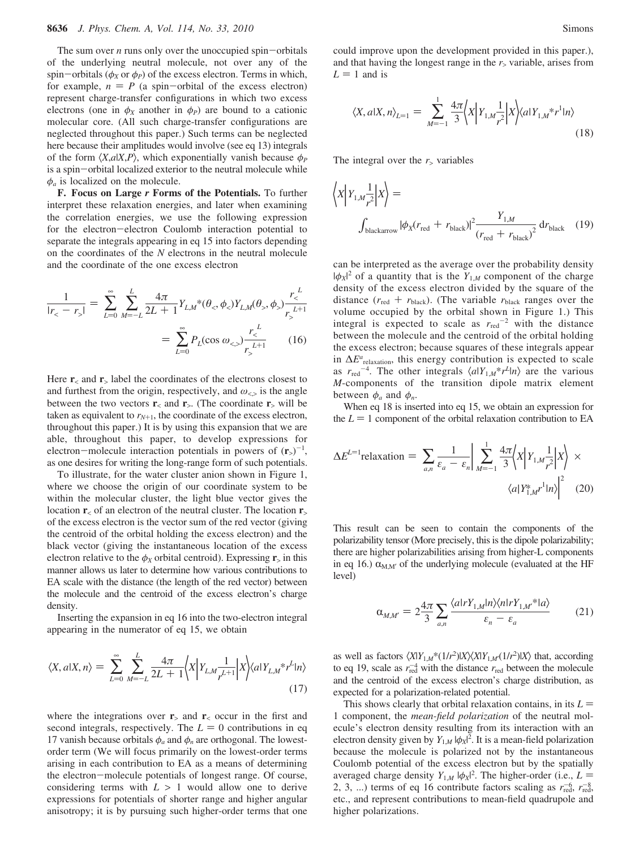The sum over *n* runs only over the unoccupied spin-orbitals of the underlying neutral molecule, not over any of the spin-orbitals ( $\phi_X$  or  $\phi_P$ ) of the excess electron. Terms in which, for example,  $n = P$  (a spin-orbital of the excess electron) represent charge-transfer configurations in which two excess electrons (one in  $\phi_X$  another in  $\phi_P$ ) are bound to a cationic molecular core. (All such charge-transfer configurations are neglected throughout this paper.) Such terms can be neglected here because their amplitudes would involve (see eq 13) integrals of the form  $\langle X, a | X, P \rangle$ , which exponentially vanish because  $\phi_P$ is a spin-orbital localized exterior to the neutral molecule while  $\phi_a$  is localized on the molecule.

**F. Focus on Large** *r* **Forms of the Potentials.** To further interpret these relaxation energies, and later when examining the correlation energies, we use the following expression for the electron-electron Coulomb interaction potential to separate the integrals appearing in eq 15 into factors depending on the coordinates of the *N* electrons in the neutral molecule and the coordinate of the one excess electron

$$
\frac{1}{|r_{<} - r_{>}|} = \sum_{L=0}^{\infty} \sum_{M=-L}^{L} \frac{4\pi}{2L+1} Y_{L,M}^* (\theta_{<}, \phi_{<}) Y_{L,M}(\theta_{>}, \phi_{>}) \frac{r_{<}^L}{r_{>}^{L+1}}
$$

$$
= \sum_{L=0}^{\infty} P_L(\cos \omega_{<,>}) \frac{r_{<}^L}{r_{>}^{L+1}}
$$
(16)

Here  $\mathbf{r}_\le$  and  $\mathbf{r}_\ge$  label the coordinates of the electrons closest to and furthest from the origin, respectively, and  $\omega_{\leq}$  is the angle between the two vectors  $\mathbf{r}_\text{z}$  and  $\mathbf{r}_\text{z}$ . (The coordinate  $\mathbf{r}_\text{z}$  will be taken as equivalent to  $r_{N+1}$ , the coordinate of the excess electron, throughout this paper.) It is by using this expansion that we are able, throughout this paper, to develop expressions for electron—molecule interaction potentials in powers of  $(\mathbf{r}_>)^{-1}$ ,<br>as one desires for writing the long-range form of such potentials as one desires for writing the long-range form of such potentials.

To illustrate, for the water cluster anion shown in Figure 1, where we choose the origin of our coordinate system to be within the molecular cluster, the light blue vector gives the location **r**<sup>&</sup>lt; of an electron of the neutral cluster. The location **r**<sup>&</sup>gt; of the excess electron is the vector sum of the red vector (giving the centroid of the orbital holding the excess electron) and the black vector (giving the instantaneous location of the excess electron relative to the  $\phi_X$  orbital centroid). Expressing  $\mathbf{r}_>$  in this manner allows us later to determine how various contributions to EA scale with the distance (the length of the red vector) between the molecule and the centroid of the excess electron's charge density.

Inserting the expansion in eq 16 into the two-electron integral appearing in the numerator of eq 15, we obtain

$$
\langle X, a | X, n \rangle = \sum_{L=0}^{\infty} \sum_{M=-L}^{L} \frac{4\pi}{2L+1} \langle X | Y_{L,M} \frac{1}{r^{L+1}} | X \rangle \langle a | Y_{L,M} * r^L | n \rangle
$$
\n(17)

where the integrations over  $\mathbf{r}_>$  and  $\mathbf{r}_<$  occur in the first and second integrals, respectively. The  $L = 0$  contributions in eq 17 vanish because orbitals  $\phi_a$  and  $\phi_n$  are orthogonal. The lowestorder term (We will focus primarily on the lowest-order terms arising in each contribution to EA as a means of determining the electron-molecule potentials of longest range. Of course, considering terms with  $L > 1$  would allow one to derive expressions for potentials of shorter range and higher angular anisotropy; it is by pursuing such higher-order terms that one

could improve upon the development provided in this paper.), and that having the longest range in the  $r<sub>></sub>$  variable, arises from  $L = 1$  and is

$$
\langle X, a | X, n \rangle_{L=1} = \sum_{M=-1}^{1} \frac{4\pi}{3} \langle X | Y_{1,M} \frac{1}{r^2} | X \rangle \langle a | Y_{1,M}^* r^1 | n \rangle \tag{18}
$$

The integral over the  $r$  variables

$$
\left\langle X \Big| Y_{1,M} \frac{1}{r^2} \Big| X \right\rangle =
$$
\n
$$
\int_{\text{blackarrow}} |\phi_X(r_{\text{red}} + r_{\text{black}})|^2 \frac{Y_{1,M}}{(r_{\text{red}} + r_{\text{black}})^2} \, dr_{\text{black}} \tag{19}
$$

can be interpreted as the average over the probability density  $|\phi_X|^2$  of a quantity that is the  $Y_{1,M}$  component of the charge density of the excess electron divided by the square of the distance  $(r_{\text{red}} + r_{\text{black}})$ . (The variable  $r_{\text{black}}$  ranges over the volume occupied by the orbital shown in Figure 1.) This integral is expected to scale as  $r_{\text{red}}$ <sup>-2</sup> with the distance between the molecule and the centroid of the orbital holding the excess electron; because squares of these integrals appear in  $\Delta E^a$ <sub>relaxation</sub>, this energy contribution is expected to scale as  $r_{\text{red}}^{-4}$ . The other integrals  $\langle a|Y_{1,M}^*r^L|n\rangle$  are the various *M*-components of the transition dipole matrix element between  $\phi_a$  and  $\phi_n$ .

When eq 18 is inserted into eq 15, we obtain an expression for the  $L = 1$  component of the orbital relaxation contribution to EA

$$
\Delta E^{L=1} \text{relaxation} = \sum_{a,n} \frac{1}{\varepsilon_a - \varepsilon_n} \bigg| \sum_{M=-1}^{1} \frac{4\pi}{3} \bigg\langle X \bigg| Y_{1,M} \frac{1}{r^2} \bigg| X \bigg\rangle \times \bigg\langle a | Y_{1,M}^* \mathbf{r}^1 | n \big\rangle \bigg|^2 \tag{20}
$$

This result can be seen to contain the components of the polarizability tensor (More precisely, this is the dipole polarizability; there are higher polarizabilities arising from higher-L components in eq 16.)  $\alpha_{M,M'}$  of the underlying molecule (evaluated at the HF level)

$$
\alpha_{M,M'} = 2 \frac{4\pi}{3} \sum_{a,n} \frac{\langle a| r Y_{1,M} | n \rangle \langle n| r Y_{1,M}^* | a \rangle}{\varepsilon_n - \varepsilon_a} \tag{21}
$$

as well as factors  $\langle X|Y_{1,M}*(1/r^2)|X\rangle\langle X|Y_{1,M'}(1/r^2)|X\rangle$  that, according to eq 19, scale as  $r_{\text{red}}^{-4}$  with the distance  $r_{\text{red}}$  between the molecule and the centroid of the excess electron's charge distribution, as expected for a polarization-related potential.

This shows clearly that orbital relaxation contains, in its  $L =$ 1 component, the *mean-field polarization* of the neutral molecule's electron density resulting from its interaction with an electron density given by  $Y_{1,M} | \phi_X |^2$ . It is a mean-field polarization because the molecule is polarized not by the instantaneous Coulomb potential of the excess electron but by the spatially averaged charge density  $Y_{1,M} | \phi_X|^2$ . The higher-order (i.e.,  $L =$ <br>2. 3. The rms of eq. 16 contribute factors scaling as  $r^{-6}$ ,  $r^{-8}$ 2, 3, ...) terms of eq 16 contribute factors scaling as  $r_{\text{red}}^{-6}$ ,  $r_{\text{red}}^{-8}$ etc., and represent contributions to mean-field quadrupole and higher polarizations.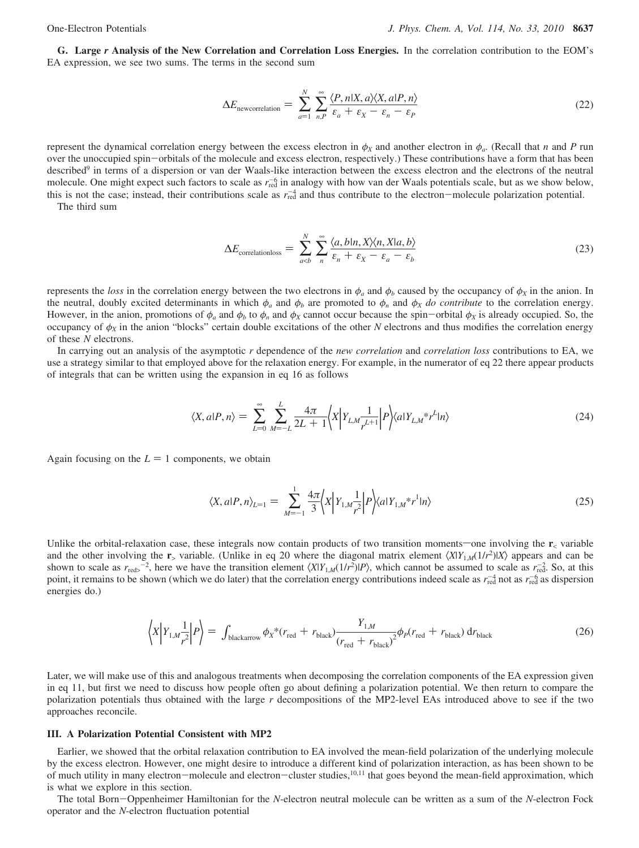**G. Large** *r* **Analysis of the New Correlation and Correlation Loss Energies.** In the correlation contribution to the EOM's EA expression, we see two sums. The terms in the second sum

$$
\Delta E_{\text{newcorrelation}} = \sum_{a=1}^{N} \sum_{n,P}^{\infty} \frac{\langle P, n | X, a \rangle \langle X, a | P, n \rangle}{\varepsilon_a + \varepsilon_x - \varepsilon_n - \varepsilon_P}
$$
(22)

represent the dynamical correlation energy between the excess electron in  $\phi_X$  and another electron in  $\phi_a$ . (Recall that *n* and *P* run over the unoccupied spin-orbitals of the molecule and excess electron, respectively.) These contributions have a form that has been described<sup>9</sup> in terms of a dispersion or van der Waals-like interaction between the excess electron and the electrons of the neutral molecule. One might expect such factors to scale as  $r_{\text{red}}^{-6}$  in analogy with how van der Waals potentials scale, but as we show below, this is not the case; instead, their contributions scale as  $r_{\text{red}}^{-4}$  and thus contribute to the electron-molecule polarization potential.<br>The third sum

The third sum

$$
\Delta E_{\text{correlationloss}} = \sum_{a(23)
$$

represents the *loss* in the correlation energy between the two electrons in  $\phi_a$  and  $\phi_b$  caused by the occupancy of  $\phi_x$  in the anion. In the neutral, doubly excited determinants in which  $\phi_a$  and  $\phi_b$  are promoted to  $\phi_n$  and  $\phi_X$  *do contribute* to the correlation energy. However, in the anion, promotions of  $\phi_a$  and  $\phi_b$  to  $\phi_n$  and  $\phi_X$  cannot occur because the spin-orbital  $\phi_X$  is already occupied. So, the occupancy of  $φ<sub>X</sub>$  in the anion "blocks" certain double excitations of the other *N* electrons and thus modifies the correlation energy of these *N* electrons.

In carrying out an analysis of the asymptotic *r* dependence of the *new correlation* and *correlation loss* contributions to EA, we use a strategy similar to that employed above for the relaxation energy. For example, in the numerator of eq 22 there appear products of integrals that can be written using the expansion in eq 16 as follows

$$
\langle X, a|P, n \rangle = \sum_{L=0}^{\infty} \sum_{M=-L}^{L} \frac{4\pi}{2L+1} \langle X | Y_{L,M} \frac{1}{r^{L+1}} | P \rangle \langle a | Y_{L,M}^* r^L | n \rangle \tag{24}
$$

Again focusing on the  $L = 1$  components, we obtain

$$
\langle X, a|P, n \rangle_{L=1} = \sum_{M=-1}^{1} \frac{4\pi}{3} \langle X | Y_{1,M} \frac{1}{r^2} | P \rangle \langle a | Y_{1,M}^* r^1 | n \rangle \tag{25}
$$

Unlike the orbital-relaxation case, these integrals now contain products of two transition moments—one involving the  $r<sub>5</sub>$  variable and the other involving the **r**<sub>></sub> variable. (Unlike in eq 20 where the diagonal matrix element  $\langle X|Y_{1,M}(1/r^2)|X\rangle$  appears and can be shown to scale as  $r_{\text{red}}$ , here we have the transition element  $\langle X|Y_{1,M}(1/r^2)|P\rangle$ , which cannot be assumed to scale as  $r_{\text{red}}^{-2}$ . So, at this point, it remains to be shown (which we do later) that the correlation energy contributions indeed scale as  $r_{\text{red}}^{-4}$  not as  $r_{\text{red}}^{-6}$  as dispersion energies do.)

$$
\left\langle X \Big| Y_{1,M} \frac{1}{r^2} \Big| P \right\rangle = \int_{\text{blackarrow}} \phi_X^* (r_{\text{red}} + r_{\text{black}}) \frac{Y_{1,M}}{(r_{\text{red}} + r_{\text{black}})^2} \phi_P (r_{\text{red}} + r_{\text{black}}) \, dr_{\text{black}} \tag{26}
$$

Later, we will make use of this and analogous treatments when decomposing the correlation components of the EA expression given in eq 11, but first we need to discuss how people often go about defining a polarization potential. We then return to compare the polarization potentials thus obtained with the large *r* decompositions of the MP2-level EAs introduced above to see if the two approaches reconcile.

### **III. A Polarization Potential Consistent with MP2**

Earlier, we showed that the orbital relaxation contribution to EA involved the mean-field polarization of the underlying molecule by the excess electron. However, one might desire to introduce a different kind of polarization interaction, as has been shown to be of much utility in many electron-molecule and electron-cluster studies,<sup>10,11</sup> that goes beyond the mean-field approximation, which is what we explore in this section.

The total Born-Oppenheimer Hamiltonian for the *<sup>N</sup>*-electron neutral molecule can be written as a sum of the *<sup>N</sup>*-electron Fock operator and the *N*-electron fluctuation potential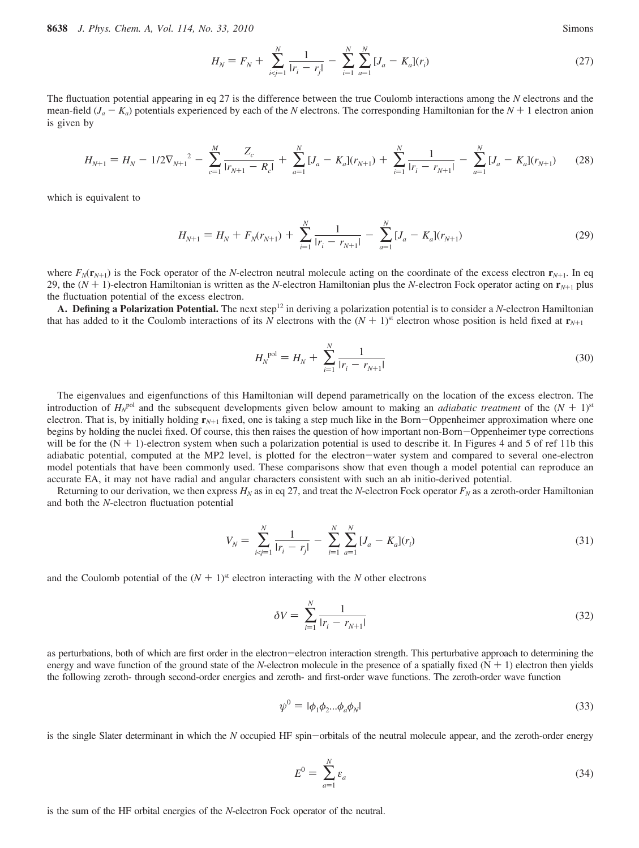**8638** *J. Phys. Chem. A, Vol. 114, No. 33, 2010* Simons

$$
H_N = F_N + \sum_{i < j=1}^N \frac{1}{|r_i - r_j|} - \sum_{i=1}^N \sum_{a=1}^N [J_a - K_a](r_i) \tag{27}
$$

The fluctuation potential appearing in eq 27 is the difference between the true Coulomb interactions among the *N* electrons and the mean-field  $(J_a - K_a)$  potentials experienced by each of the *N* electrons. The corresponding Hamiltonian for the  $N + 1$  electron anion is given by

$$
H_{N+1} = H_N - 1/2 \nabla_{N+1}^2 - \sum_{c=1}^M \frac{Z_c}{|r_{N+1} - R_c|} + \sum_{a=1}^N [J_a - K_a](r_{N+1}) + \sum_{i=1}^N \frac{1}{|r_i - r_{N+1}|} - \sum_{a=1}^N [J_a - K_a](r_{N+1}) \tag{28}
$$

which is equivalent to

$$
H_{N+1} = H_N + F_N(r_{N+1}) + \sum_{i=1}^{N} \frac{1}{|r_i - r_{N+1}|} - \sum_{a=1}^{N} [J_a - K_a](r_{N+1})
$$
(29)

where  $F_N(\mathbf{r}_{N+1})$  is the Fock operator of the *N*-electron neutral molecule acting on the coordinate of the excess electron  $\mathbf{r}_{N+1}$ . In eq 29, the (*<sup>N</sup>* <sup>+</sup> 1)-electron Hamiltonian is written as the *<sup>N</sup>*-electron Hamiltonian plus the *<sup>N</sup>*-electron Fock operator acting on **<sup>r</sup>***<sup>N</sup>*+<sup>1</sup> plus the fluctuation potential of the excess electron.

A. Defining a Polarization Potential. The next step<sup>12</sup> in deriving a polarization potential is to consider a *N*-electron Hamiltonian that has added to it the Coulomb interactions of its *N* electrons with the  $(N + 1)$ <sup>st</sup> electron whose position is held fixed at  $\mathbf{r}_{N+1}$ 

$$
H_N^{\text{pol}} = H_N + \sum_{i=1}^N \frac{1}{|r_i - r_{N+1}|} \tag{30}
$$

The eigenvalues and eigenfunctions of this Hamiltonian will depend parametrically on the location of the excess electron. The introduction of  $H_N^{\text{pol}}$  and the subsequent developments given below amount to making an *adiabatic treatment* of the  $(N + 1)^{\text{st}}$ <br>electron. That is by initially holding  $\mathbf{r}_{\text{tot}}$  fixed, one is taking a step much li electron. That is, by initially holding  $\mathbf{r}_{N+1}$  fixed, one is taking a step much like in the Born-Oppenheimer approximation where one begins by holding the nuclei fixed. Of course, this then raises the question of how important non-Born-Oppenheimer type corrections will be for the  $(N + 1)$ -electron system when such a polarization potential is used to describe it. In Figures 4 and 5 of ref 11b this adiabatic potential, computed at the MP2 level, is plotted for the electron-water system and compared to several one-electron model potentials that have been commonly used. These comparisons show that even though a model potential can reproduce an accurate EA, it may not have radial and angular characters consistent with such an ab initio-derived potential.

Returning to our derivation, we then express  $H_N$  as in eq 27, and treat the *N*-electron Fock operator  $F_N$  as a zeroth-order Hamiltonian and both the *N*-electron fluctuation potential

$$
V_N = \sum_{i < j=1}^N \frac{1}{|r_i - r_j|} - \sum_{i=1}^N \sum_{a=1}^N [J_a - K_a](r_i) \tag{31}
$$

and the Coulomb potential of the  $(N + 1)$ <sup>st</sup> electron interacting with the *N* other electrons

$$
\delta V = \sum_{i=1}^{N} \frac{1}{|r_i - r_{N+1}|} \tag{32}
$$

as perturbations, both of which are first order in the electron-electron interaction strength. This perturbative approach to determining the energy and wave function of the ground state of the *N*-electron molecule in the presence of a spatially fixed  $(N + 1)$  electron then yields the following zeroth- through second-order energies and zeroth- and first-order wave functions. The zeroth-order wave function

$$
\psi^0 = |\phi_1 \phi_2 ... \phi_a \phi_N| \tag{33}
$$

is the single Slater determinant in which the *<sup>N</sup>* occupied HF spin-orbitals of the neutral molecule appear, and the zeroth-order energy

$$
E^0 = \sum_{a=1}^N \varepsilon_a \tag{34}
$$

is the sum of the HF orbital energies of the *N*-electron Fock operator of the neutral.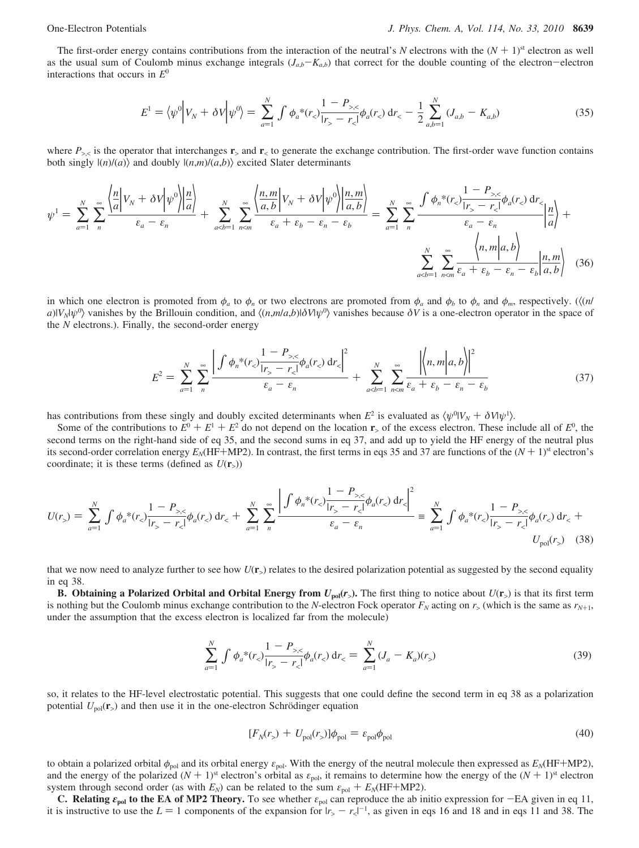The first-order energy contains contributions from the interaction of the neutral's N electrons with the  $(N + 1)$ <sup>st</sup> electron as well as the usual sum of Coulomb minus exchange integrals  $(J_{a,b}-K_{a,b})$  that correct for the double counting of the electron-electron interactions that occurs in *E*<sup>0</sup>

$$
E^{1} = \langle \psi^{0} \Big| V_{N} + \delta V \Big| \psi^{0} \rangle = \sum_{a=1}^{N} \int \phi_{a}^{*}(r_{c}) \frac{1 - P_{\ge, <}}{|r_{>} - r_{<}|} \phi_{a}(r_{<}) \, dr_{<} - \frac{1}{2} \sum_{a,b=1}^{N} (J_{a,b} - K_{a,b}) \tag{35}
$$

where  $P_{>}$  is the operator that interchanges  $\mathbf{r}_>$  and  $\mathbf{r}_<$  to generate the exchange contribution. The first-order wave function contains both singly  $|(n)/(a)\rangle$  and doubly  $|(n,m)/(a,b)\rangle$  excited Slater determinants

$$
\psi^{1} = \sum_{a=1}^{N} \sum_{n}^{\infty} \frac{\left\langle \frac{n}{a} \left| V_{N} + \delta V \right| \psi^{0} \right\rangle \left| \frac{n}{a} \right\rangle}{\varepsilon_{a} - \varepsilon_{n}} + \sum_{a <}}{|r_{>} - r_{<}|} \phi_{a}(r_{<}) \, dr_{\n\varepsilon_{a} - \varepsilon_{n}}}{\varepsilon_{a} - \varepsilon_{n}} \left| \frac{n}{a,b} \right| + \sum_{a
$$

in which one electron is promoted from  $\phi_a$  to  $\phi_n$  or two electrons are promoted from  $\phi_a$  and  $\phi_b$  to  $\phi_n$  and  $\phi_m$ , respectively. ( $\langle (n \rangle$  $a$ )| $V_N|\psi^0\rangle$  vanishes by the Brillouin condition, and  $\langle (n,m/a,b)|\delta V|\psi^0\rangle$  vanishes because  $\delta V$  is a one-electron operator in the space of the *N* electrons.). Finally, the second-order energy

$$
E^{2} = \sum_{a=1}^{N} \sum_{n}^{\infty} \frac{\left| \int \phi_{n}^{*}(r_{<}) \frac{1-P_{>,<}}{|r_{>}-r_{<}|} \phi_{a}(r_{<}) \, dr_{<} \right|^{2}}{\varepsilon_{a}-\varepsilon_{n}} + \sum_{a
$$

has contributions from these singly and doubly excited determinants when  $E^2$  is evaluated as  $\langle \psi^0 | V_N + \delta V | \psi^1 \rangle$ .<br>Some of the contributions to  $F^0 + F^1 + F^2$  do not depend on the location **r**, of the excess electron.

Some of the contributions to  $E^0 + E^1 + E^2$  do not depend on the location **r**<sub>></sub> of the excess electron. These include all of  $E^0$ , the cond terms on the right-hand side of eq. 35, and the second sums in eq. 37, and add u second terms on the right-hand side of eq 35, and the second sums in eq 37, and add up to yield the HF energy of the neutral plus its second-order correlation energy  $E_N$ (HF+MP2). In contrast, the first terms in eqs 35 and 37 are functions of the  $(N + 1)$ <sup>st</sup> electron's coordinate; it is these terms (defined as  $U(\mathbf{r}_s)$ )

$$
U(r_{>}) = \sum_{a=1}^{N} \int \phi_{a}^{*}(r_{<}) \frac{1 - P_{>,<}}{|r_{>} - r_{<}|} \phi_{a}(r_{<}) \, dr_{<} + \sum_{a=1}^{N} \sum_{n}^{\infty} \frac{\left| \int \phi_{n}^{*}(r_{<}) \frac{1 - P_{>,<}}{|r_{>} - r_{<}|} \phi_{a}(r_{<}) \, dr_{<} \right|^{2}}{\varepsilon_{a} - \varepsilon_{n}} = \sum_{a=1}^{N} \int \phi_{a}^{*}(r_{<}) \frac{1 - P_{>,<}}{|r_{>} - r_{<}|} \phi_{a}(r_{<}) \, dr_{<} + U_{\text{pol}}(r_{>}) \quad (38)
$$

that we now need to analyze further to see how  $U(\mathbf{r})$  relates to the desired polarization potential as suggested by the second equality in eq 38.

**B.** Obtaining a Polarized Orbital and Orbital Energy from  $U_{pol}(r_>)$ . The first thing to notice about  $U(r_>)$  is that its first term is nothing but the Coulomb minus exchange contribution to the *N*-electron Fock operator  $F_N$  acting on  $r_>($  which is the same as  $r_{N+1}$ , under the assumption that the excess electron is localized far from the molecule)

$$
\sum_{a=1}^{N} \int \phi_a^*(r_<) \frac{1 - P_{>,<}}{|r_> - r_<|} \phi_a(r_<) \, \mathrm{d}r_< = \sum_{a=1}^{N} (J_a - K_a)(r_>) \tag{39}
$$

so, it relates to the HF-level electrostatic potential. This suggests that one could define the second term in eq 38 as a polarization potential  $U_{pol}(\mathbf{r}_>)$  and then use it in the one-electron Schrödinger equation

$$
[F_N(r_>) + U_{\text{pol}}(r_>)]\phi_{\text{pol}} = \varepsilon_{\text{pol}}\phi_{\text{pol}}
$$
\n(40)

to obtain a polarized orbital  $\phi_{pol}$  and its orbital energy  $\varepsilon_{pol}$ . With the energy of the neutral molecule then expressed as  $E_N(HF+MP2)$ , and the energy of the polarized  $(N + 1)$ <sup>st</sup> electron's orbital as  $\varepsilon_{pol}$ , it remains to determine how the energy of the  $(N + 1)$ <sup>st</sup> electron system through second order (as with  $E_N$ ) can be related to the sum  $\varepsilon_{pol} + E_N(HF+MP2)$ .

**C. Relating**  $\epsilon_{pol}$  to the EA of MP2 Theory. To see whether  $\epsilon_{pol}$  can reproduce the ab initio expression for -EA given in eq 11, it is instructive to use the  $L = 1$  components of the expansion for  $|r_> - r_0|^{-1}$ , as given in eqs 16 and 18 and in eqs 11 and 38. The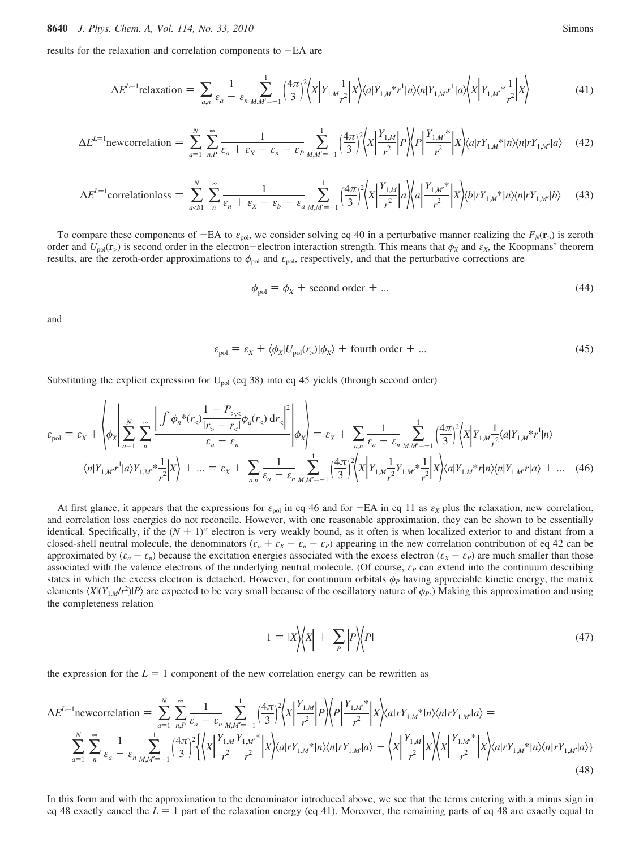results for the relaxation and correlation components to -EA are

$$
\Delta E^{L=1} \text{relaxation} = \sum_{a,n} \frac{1}{\varepsilon_a - \varepsilon_n} \sum_{M,M'=-1}^1 \left(\frac{4\pi}{3}\right)^2 \left\langle X \left| Y_{1,M} \frac{1}{r^2} \right| X \right\rangle \langle a | Y_{1,M}^* r^1 | n \rangle \langle n | Y_{1,M} r^1 | a \rangle \left\langle X \left| Y_{1,M'}^* \frac{1}{r^2} \right| X \right\rangle \tag{41}
$$

$$
\Delta E^{L=1} \text{newcorrelation} = \sum_{a=1}^{N} \sum_{n,P}^{\infty} \frac{1}{\varepsilon_a + \varepsilon_x - \varepsilon_n - \varepsilon_p} \sum_{M,M'=-1}^{1} \left(\frac{4\pi}{3}\right)^2 \left\langle X \Big| \frac{Y_{1,M}}{r^2} \Big| P \right\rangle \left\langle P \Big| \frac{Y_{1,M'}^{*}}{r^2} \Big| X \right\rangle \left\langle a \Big| r Y_{1,M'}^{*} \Big| n \right\rangle \left\langle n \Big| r Y_{1,M'}^{*} \Big| a \right\rangle \tag{42}
$$

$$
\Delta E^{L=1} \text{correlationloss} = \sum_{a
$$

To compare these components of  $-EA$  to  $\varepsilon_{pol}$ , we consider solving eq 40 in a perturbative manner realizing the  $F_N(\mathbf{r}_>)$  is zeroth order and  $U_{pol}(\mathbf{r}_>)$  is second order in the electron-electron interaction strength. This means that  $\phi_X$  and  $\varepsilon_X$ , the Koopmans' theorem results, are the zeroth-order approximations to  $\phi_{pol}$  and  $\varepsilon_{pol}$ , respectively, and that the perturbative corrections are

$$
\phi_{\text{pol}} = \phi_X + \text{ second order} + \dots \tag{44}
$$

and

$$
\varepsilon_{\text{pol}} = \varepsilon_X + \langle \phi_X | U_{\text{pol}}(r) | \phi_X \rangle + \text{fourth order} + \dots \tag{45}
$$

Substituting the explicit expression for  $U_{pol}$  (eq 38) into eq 45 yields (through second order)

$$
\varepsilon_{\text{pol}} = \varepsilon_{X} + \left\langle \phi_{X} \middle| \sum_{a=1}^{N} \sum_{n}^{\infty} \frac{\left| \int \phi_{n}^{*}(r_{<}) \frac{1 - P_{>,<}}{r_{>} - r_{<}} \phi_{a}(r_{<}) \, dr_{<} \right|^{2}}{\varepsilon_{a} - \varepsilon_{n}} \right\vert \phi_{X} \right\rangle = \varepsilon_{X} + \sum_{a,n} \frac{1}{\varepsilon_{a} - \varepsilon_{n} M M^{2} - 1} \left\langle \frac{4\pi}{3} \right\rangle \left\langle X \middle| Y_{1,M} \frac{1}{r_{>}} \langle a | Y_{1,M}^{*} r^{1} | n \rangle \right\rangle
$$

$$
\langle n | Y_{1,M} r^{1} | a \rangle Y_{1,M}^{*} \frac{1}{r_{>}^{2}} \left| X \right\rangle + \dots = \varepsilon_{X} + \sum_{a,n} \frac{1}{\varepsilon_{a} - \varepsilon_{n} M M^{2} - 1} \left\langle \frac{4\pi}{3} \right\rangle^{2} \left\langle X \middle| Y_{1,M} \frac{1}{r_{>}^{2}} Y_{1,M}^{*} \frac{1}{r_{>}^{2}} \right\vert X \right\rangle \langle a | Y_{1,M}^{*} r | n \rangle \langle n | Y_{1,M} r | a \rangle + \dots \quad (46)
$$

At first glance, it appears that the expressions for  $\varepsilon_{pol}$  in eq 46 and for  $-EA$  in eq 11 as  $\varepsilon_X$  plus the relaxation, new correlation, and correlation loss energies do not reconcile. However, with one reasonable approximation, they can be shown to be essentially identical. Specifically, if the  $(N + 1)$ <sup>st</sup> electron is very weakly bound, as it often is when localized exterior to and distant from a closed-shell neutral molecule, the denominators  $(\varepsilon_a + \varepsilon_x - \varepsilon_n - \varepsilon_p)$  appearing in the new correlation contribution of eq 42 can be approximated by  $(\varepsilon_a - \varepsilon_n)$  because the excitation energies associated with the excess electron  $(\varepsilon_X - \varepsilon_P)$  are much smaller than those associated with the valence electrons of the underlying neutral molecule. (Of course, *ε<sup>P</sup>* can extend into the continuum describing states in which the excess electron is detached. However, for continuum orbitals  $\phi_P$  having appreciable kinetic energy, the matrix elements  $\langle X|(Y_{1,M}/r^2)|P\rangle$  are expected to be very small because of the oscillatory nature of  $\phi_P$ .) Making this approximation and using the completeness relation

$$
1 = |X| \left\langle X \right| + \sum_{P} \left| P \right| \left\langle P \right| \tag{47}
$$

the expression for the  $L = 1$  component of the new correlation energy can be rewritten as

$$
\Delta E^{L=1} \text{newcorrelation} = \sum_{a=1}^{N} \sum_{n,P}^{\infty} \frac{1}{\varepsilon_a - \varepsilon_n} \sum_{M,M'=-1}^{N} \left(\frac{4\pi}{3}\right)^2 \left\langle X \Big| \frac{Y_{1,M}}{r^2} \Big| P \right\rangle \left\langle P \Big| \frac{Y_{1,M}^*}{r^2} \Big| X \right\rangle \langle a|rY_{1,M}^*|n\rangle \langle n|rY_{1,M'}|a\rangle = \sum_{a=1}^{N} \sum_{n}^{\infty} \frac{1}{\varepsilon_a - \varepsilon_n} \sum_{M,M'=-1}^{N} \left(\frac{4\pi}{3}\right)^2 \left\langle X \Big| \frac{Y_{1,M}^*}{r^2} \frac{Y_{1,M}^*}{r^2} \Big| X \right\rangle \langle a|rY_{1,M'}|a\rangle - \left\langle X \Big| \frac{Y_{1,M}}{r^2} \Big| X \right\rangle \left\langle X \Big| \frac{Y_{1,M}^*}{r^2} \Big| X \right\rangle \langle a|rY_{1,M'}|a\rangle \right\}
$$
\n(48)

In this form and with the approximation to the denominator introduced above, we see that the terms entering with a minus sign in eq 48 exactly cancel the  $L = 1$  part of the relaxation energy (eq 41). Moreover, the remaining parts of eq 48 are exactly equal to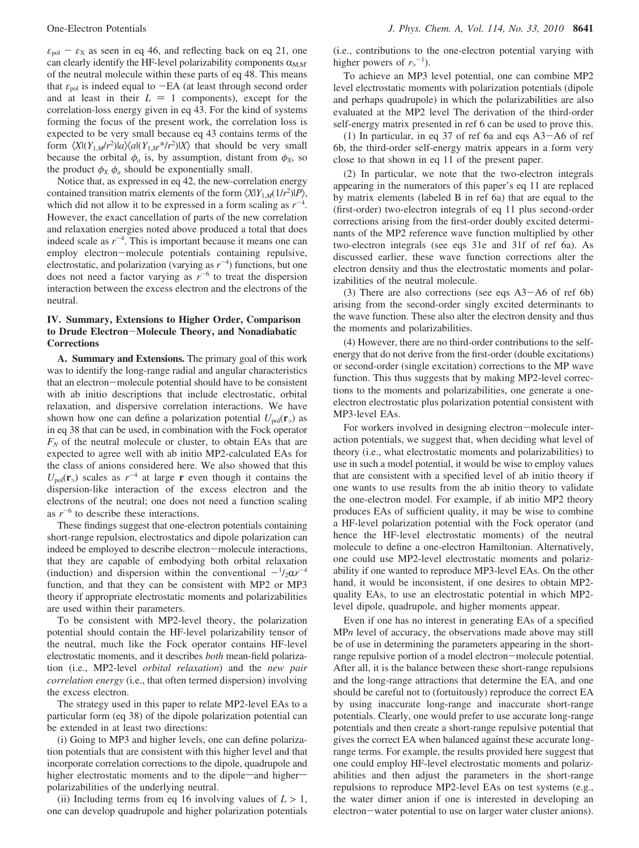$\varepsilon_{\text{pol}} - \varepsilon_{\text{X}}$  as seen in eq 46, and reflecting back on eq 21, one can clearly identify the HF-level polarizability components  $\alpha_{M,M'}$ of the neutral molecule within these parts of eq 48. This means that  $\varepsilon_{\text{pol}}$  is indeed equal to  $-EA$  (at least through second order and at least in their  $L = 1$  components), except for the correlation-loss energy given in eq 43. For the kind of systems forming the focus of the present work, the correlation loss is expected to be very small because eq 43 contains terms of the form  $\langle X|(Y_{1,M}/r^2)|a\rangle\langle a|(Y_{1,M'}^*r^2)|X\rangle$  that should be very small because the orbital  $\phi_a$  is, by assumption, distant from  $\phi_X$ , so the product  $\phi_X \phi_a$  should be exponentially small.

Notice that, as expressed in eq 42, the new-correlation energy contained transition matrix elements of the form  $\langle X|Y_{1,M}(1/r^2)|P\rangle$ , which did not allow it to be expressed in a form scaling as  $r^{-4}$ . However, the exact cancellation of parts of the new correlation and relaxation energies noted above produced a total that does indeed scale as  $r^{-4}$ . This is important because it means one can employ electron-molecule potentials containing repulsive, electrostatic, and polarization (varying as  $r^{-4}$ ) functions, but one does not need a factor varying as  $r^{-6}$  to treat the dispersion interaction between the excess electron and the electrons of the neutral.

## **IV. Summary, Extensions to Higher Order, Comparison to Drude Electron**-**Molecule Theory, and Nonadiabatic Corrections**

**A. Summary and Extensions.** The primary goal of this work was to identify the long-range radial and angular characteristics that an electron-molecule potential should have to be consistent with ab initio descriptions that include electrostatic, orbital relaxation, and dispersive correlation interactions. We have shown how one can define a polarization potential  $U_{pol}(\mathbf{r}_>)$  as in eq 38 that can be used, in combination with the Fock operator  $F_N$  of the neutral molecule or cluster, to obtain EAs that are expected to agree well with ab initio MP2-calculated EAs for the class of anions considered here. We also showed that this  $U_{\text{pol}}(\mathbf{r}_>)$  scales as  $r^{-4}$  at large **r** even though it contains the dispersion-like interaction of the excess electron and the electrons of the neutral; one does not need a function scaling as  $r^{-6}$  to describe these interactions.

These findings suggest that one-electron potentials containing short-range repulsion, electrostatics and dipole polarization can indeed be employed to describe electron-molecule interactions, that they are capable of embodying both orbital relaxation (induction) and dispersion within the conventional  $-\frac{1}{2}\alpha r^{-4}$ <br>function, and that they can be consistent with MP2 or MP3 function, and that they can be consistent with MP2 or MP3 theory if appropriate electrostatic moments and polarizabilities are used within their parameters.

To be consistent with MP2-level theory, the polarization potential should contain the HF-level polarizability tensor of the neutral, much like the Fock operator contains HF-level electrostatic moments, and it describes *both* mean-field polarization (i.e., MP2-level *orbital relaxation*) and the *new pair correlation energy* (i.e., that often termed dispersion) involving the excess electron.

The strategy used in this paper to relate MP2-level EAs to a particular form (eq 38) of the dipole polarization potential can be extended in at least two directions:

(i) Going to MP3 and higher levels, one can define polarization potentials that are consistent with this higher level and that incorporate correlation corrections to the dipole, quadrupole and higher electrostatic moments and to the dipole-and higherpolarizabilities of the underlying neutral.

(ii) Including terms from eq 16 involving values of  $L > 1$ , one can develop quadrupole and higher polarization potentials (i.e., contributions to the one-electron potential varying with higher powers of  $r_{>}^{-1}$ ).

To achieve an MP3 level potential, one can combine MP2 level electrostatic moments with polarization potentials (dipole and perhaps quadrupole) in which the polarizabilities are also evaluated at the MP2 level The derivation of the third-order self-energy matrix presented in ref 6 can be used to prove this.

(1) In particular, in eq 37 of ref 6a and eqs A3-A6 of ref 6b, the third-order self-energy matrix appears in a form very close to that shown in eq 11 of the present paper.

(2) In particular, we note that the two-electron integrals appearing in the numerators of this paper's eq 11 are replaced by matrix elements (labeled B in ref 6a) that are equal to the (first-order) two-electron integrals of eq 11 plus second-order corrections arising from the first-order doubly excited determinants of the MP2 reference wave function multiplied by other two-electron integrals (see eqs 31e and 31f of ref 6a). As discussed earlier, these wave function corrections alter the electron density and thus the electrostatic moments and polarizabilities of the neutral molecule.

(3) There are also corrections (see eqs  $A3 - A6$  of ref 6b) arising from the second-order singly excited determinants to the wave function. These also alter the electron density and thus the moments and polarizabilities.

(4) However, there are no third-order contributions to the selfenergy that do not derive from the first-order (double excitations) or second-order (single excitation) corrections to the MP wave function. This thus suggests that by making MP2-level corrections to the moments and polarizabilities, one generate a oneelectron electrostatic plus polarization potential consistent with MP3-level EAs.

For workers involved in designing electron-molecule interaction potentials, we suggest that, when deciding what level of theory (i.e., what electrostatic moments and polarizabilities) to use in such a model potential, it would be wise to employ values that are consistent with a specified level of ab initio theory if one wants to use results from the ab initio theory to validate the one-electron model. For example, if ab initio MP2 theory produces EAs of sufficient quality, it may be wise to combine a HF-level polarization potential with the Fock operator (and hence the HF-level electrostatic moments) of the neutral molecule to define a one-electron Hamiltonian. Alternatively, one could use MP2-level electrostatic moments and polarizability if one wanted to reproduce MP3-level EAs. On the other hand, it would be inconsistent, if one desires to obtain MP2 quality EAs, to use an electrostatic potential in which MP2 level dipole, quadrupole, and higher moments appear.

Even if one has no interest in generating EAs of a specified MP*n* level of accuracy, the observations made above may still be of use in determining the parameters appearing in the shortrange repulsive portion of a model electron-molecule potential. After all, it is the balance between these short-range repulsions and the long-range attractions that determine the EA, and one should be careful not to (fortuitously) reproduce the correct EA by using inaccurate long-range and inaccurate short-range potentials. Clearly, one would prefer to use accurate long-range potentials and then create a short-range repulsive potential that gives the correct EA when balanced against these accurate longrange terms. For example, the results provided here suggest that one could employ HF-level electrostatic moments and polarizabilities and then adjust the parameters in the short-range repulsions to reproduce MP2-level EAs on test systems (e.g., the water dimer anion if one is interested in developing an electron-water potential to use on larger water cluster anions).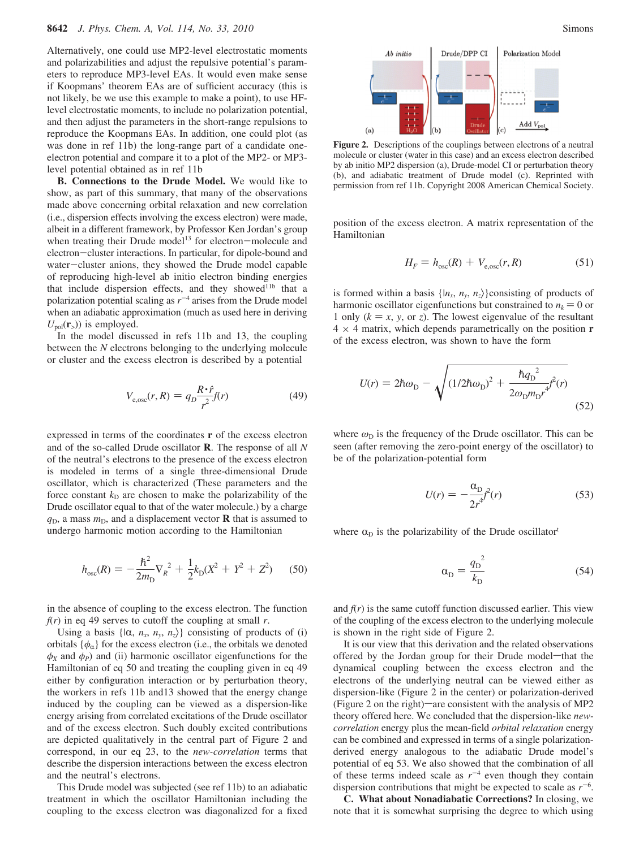Alternatively, one could use MP2-level electrostatic moments and polarizabilities and adjust the repulsive potential's parameters to reproduce MP3-level EAs. It would even make sense if Koopmans' theorem EAs are of sufficient accuracy (this is not likely, be we use this example to make a point), to use HFlevel electrostatic moments, to include no polarization potential, and then adjust the parameters in the short-range repulsions to reproduce the Koopmans EAs. In addition, one could plot (as was done in ref 11b) the long-range part of a candidate oneelectron potential and compare it to a plot of the MP2- or MP3 level potential obtained as in ref 11b

**B. Connections to the Drude Model.** We would like to show, as part of this summary, that many of the observations made above concerning orbital relaxation and new correlation (i.e., dispersion effects involving the excess electron) were made, albeit in a different framework, by Professor Ken Jordan's group when treating their Drude model<sup>13</sup> for electron-molecule and electron-cluster interactions. In particular, for dipole-bound and water-cluster anions, they showed the Drude model capable of reproducing high-level ab initio electron binding energies that include dispersion effects, and they showed<sup>11b</sup> that a polarization potential scaling as  $r^{-4}$  arises from the Drude model when an adiabatic approximation (much as used here in deriving  $U_{pol}({\bf r}_>)$ ) is employed.

In the model discussed in refs 11b and 13, the coupling between the *N* electrons belonging to the underlying molecule or cluster and the excess electron is described by a potential

$$
V_{\text{e,osc}}(r,R) = q_D \frac{R \cdot \hat{r}}{r^2} f(r) \tag{49}
$$

expressed in terms of the coordinates **r** of the excess electron and of the so-called Drude oscillator **R**. The response of all *N* of the neutral's electrons to the presence of the excess electron is modeled in terms of a single three-dimensional Drude oscillator, which is characterized (These parameters and the force constant  $k<sub>D</sub>$  are chosen to make the polarizability of the Drude oscillator equal to that of the water molecule.) by a charge  $q<sub>D</sub>$ , a mass  $m<sub>D</sub>$ , and a displacement vector **R** that is assumed to undergo harmonic motion according to the Hamiltonian

$$
h_{osc}(R) = -\frac{\hbar^2}{2m_D} \nabla_R^2 + \frac{1}{2} k_D (X^2 + Y^2 + Z^2) \tag{50}
$$

in the absence of coupling to the excess electron. The function  $f(r)$  in eq 49 serves to cutoff the coupling at small *r*.

Using a basis  $\{|\alpha, n_x, n_y, n_z\rangle\}$  consisting of products of (i) orbitals  $\{\phi_{\alpha}\}$  for the excess electron (i.e., the orbitals we denoted  $\phi_X$  and  $\phi_P$ ) and (ii) harmonic oscillator eigenfunctions for the Hamiltonian of eq 50 and treating the coupling given in eq 49 either by configuration interaction or by perturbation theory, the workers in refs 11b and13 showed that the energy change induced by the coupling can be viewed as a dispersion-like energy arising from correlated excitations of the Drude oscillator and of the excess electron. Such doubly excited contributions are depicted qualitatively in the central part of Figure 2 and correspond, in our eq 23, to the *new-correlation* terms that describe the dispersion interactions between the excess electron and the neutral's electrons.

This Drude model was subjected (see ref 11b) to an adiabatic treatment in which the oscillator Hamiltonian including the coupling to the excess electron was diagonalized for a fixed



**Figure 2.** Descriptions of the couplings between electrons of a neutral molecule or cluster (water in this case) and an excess electron described by ab initio MP2 dispersion (a), Drude-model CI or perturbation theory (b), and adiabatic treatment of Drude model (c). Reprinted with permission from ref 11b. Copyright 2008 American Chemical Society.

position of the excess electron. A matrix representation of the Hamiltonian

$$
H_F = h_{osc}(R) + V_{e,osc}(r, R)
$$
 (51)

is formed within a basis  $\{n_x, n_y, n_z\}$ consisting of products of harmonic oscillator eigenfunctions but constrained to  $n_k = 0$  or 1 only  $(k = x, y, \text{ or } z)$ . The lowest eigenvalue of the resultant  $4 \times 4$  matrix, which depends parametrically on the position **r** of the excess electron, was shown to have the form

$$
U(r) = 2\hbar\omega_{\rm D} - \sqrt{(1/2\hbar\omega_{\rm D})^2 + \frac{\hbar q_{\rm D}^2}{2\omega_{\rm D}m_{\rm D}r^4}} f^2(r)
$$
\n(52)

where  $\omega_D$  is the frequency of the Drude oscillator. This can be seen (after removing the zero-point energy of the oscillator) to be of the polarization-potential form

$$
U(r) = -\frac{\alpha_{\rm D}}{2r^4} \hat{r}(r) \tag{53}
$$

where  $\alpha_D$  is the polarizability of the Drude oscillator<sup>t</sup>

$$
\alpha_{\rm D} = \frac{{q_{\rm D}}^2}{k_{\rm D}}\tag{54}
$$

and  $f(r)$  is the same cutoff function discussed earlier. This view of the coupling of the excess electron to the underlying molecule is shown in the right side of Figure 2.

It is our view that this derivation and the related observations offered by the Jordan group for their Drude model-that the dynamical coupling between the excess electron and the electrons of the underlying neutral can be viewed either as dispersion-like (Figure 2 in the center) or polarization-derived (Figure 2 on the right)—are consistent with the analysis of MP2 theory offered here. We concluded that the dispersion-like *newcorrelation* energy plus the mean-field *orbital relaxation* energy can be combined and expressed in terms of a single polarizationderived energy analogous to the adiabatic Drude model's potential of eq 53. We also showed that the combination of all of these terms indeed scale as  $r^{-4}$  even though they contain dispersion contributions that might be expected to scale as  $r^{-6}$ .

**C. What about Nonadiabatic Corrections?** In closing, we note that it is somewhat surprising the degree to which using